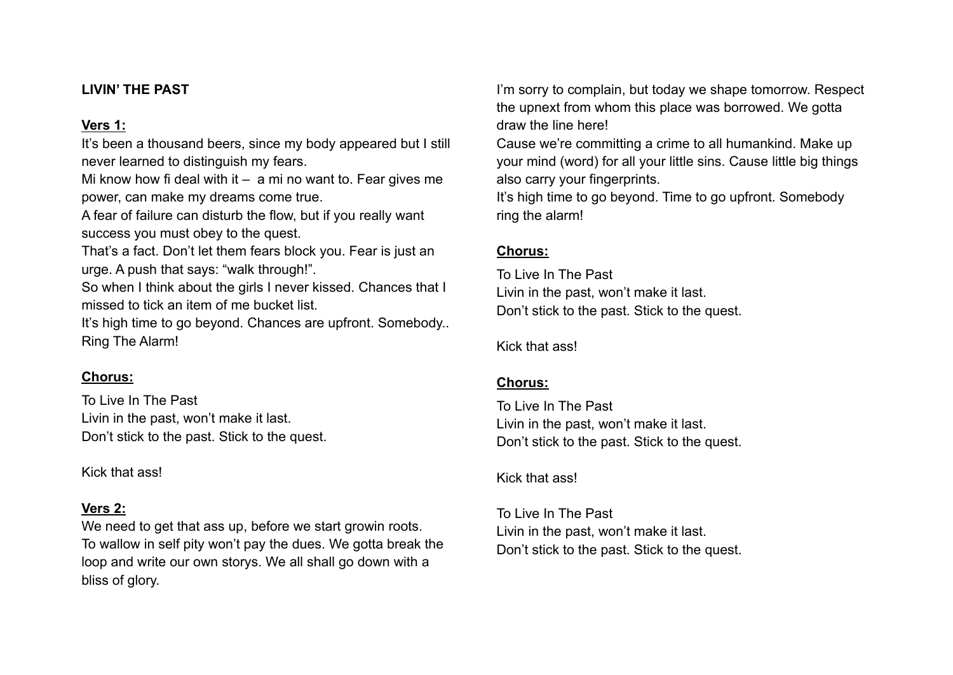## **LIVIN' THE PAST**

# **Vers 1:**

It's been a thousand beers, since my body appeared but I still never learned to distinguish my fears.

Mi know how fi deal with it  $-$  a mi no want to. Fear gives me power, can make my dreams come true.

A fear of failure can disturb the flow, but if you really want success you must obey to the quest.

That's a fact. Don't let them fears block you. Fear is just an urge. A push that says: "walk through!".

So when I think about the girls I never kissed. Chances that I missed to tick an item of me bucket list.

It's high time to go beyond. Chances are upfront. Somebody.. Ring The Alarm!

# **Chorus:**

To Live In The Past Livin in the past, won't make it last. Don't stick to the past. Stick to the quest.

Kick that ass!

# **Vers 2:**

We need to get that ass up, before we start growin roots. To wallow in self pity won't pay the dues. We gotta break the loop and write our own storys. We all shall go down with a bliss of glory.

I'm sorry to complain, but today we shape tomorrow. Respect the upnext from whom this place was borrowed. We gotta draw the line here!

Cause we're committing a crime to all humankind. Make up your mind (word) for all your little sins. Cause little big things also carry your fingerprints.

It's high time to go beyond. Time to go upfront. Somebody ring the alarm!

# **Chorus:**

To Live In The Past Livin in the past, won't make it last. Don't stick to the past. Stick to the quest.

Kick that ass!

# **Chorus:**

To Live In The Past Livin in the past, won't make it last. Don't stick to the past. Stick to the quest.

Kick that ass!

To Live In The Past Livin in the past, won't make it last. Don't stick to the past. Stick to the quest.